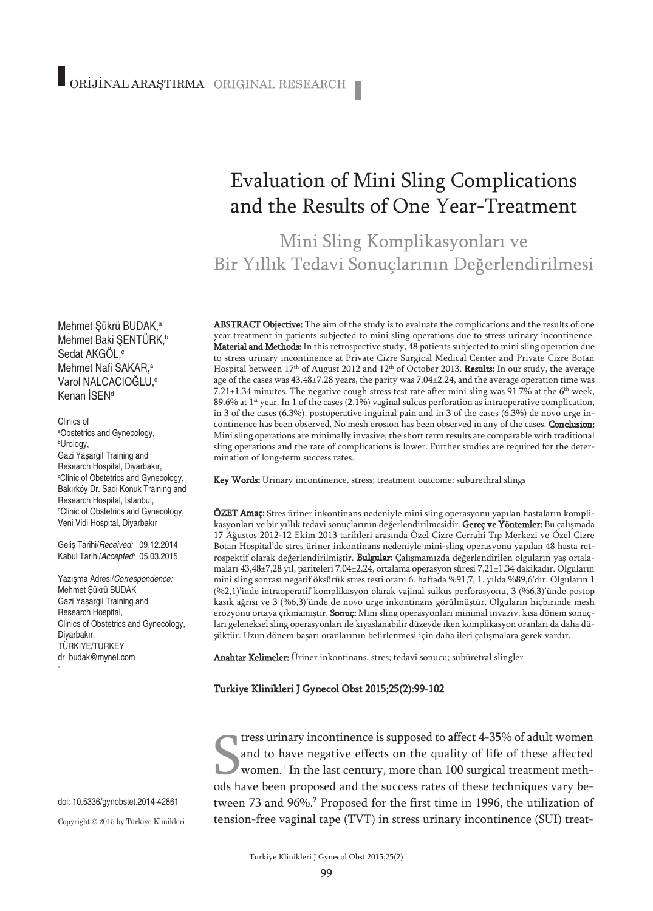# Evaluation of Mini Sling Complications and the Results of One Year-Treatment

Mini Sling Komplikasyonları ve Bir Yıllık Tedavi Sonuçlarının Değerlendirilmesi

ABSTRACT Objective: The aim of the study is to evaluate the complications and the results of one year treatment in patients subjected to mini sling operations due to stress urinary incontinence. Material and Methods: In this retrospective study, 48 patients subjected to mini sling operation due to stress urinary incontinence at Private Cizre Surgical Medical Center and Private Cizre Botan Hospital between 17<sup>th</sup> of August 2012 and 12<sup>th</sup> of October 2013. Results: In our study, the average age of the cases was 43.48±7.28 years, the parity was 7.04±2.24, and the average operation time was 7.21 $\pm$ 1.34 minutes. The negative cough stress test rate after mini sling was 91.7% at the 6<sup>th</sup> week, 89.6% at 1<sup>st</sup> year. In 1 of the cases (2.1%) vaginal sulcus perforation as intraoperative complication, in 3 of the cases (6.3%), postoperative inguinal pain and in 3 of the cases (6.3%) de novo urge incontinence has been observed. No mesh erosion has been observed in any of the cases. Conclusion: Mini sling operations are minimally invasive; the short term results are comparable with traditional sling operations and the rate of complications is lower. Further studies are required for the determination of long-term success rates.

Key Words: Urinary incontinence, stress; treatment outcome; suburethral slings

ÖZET Amaç: Stres üriner inkontinans nedeniyle mini sling operasyonu yapılan hastaların komplikasyonları ve bir yıllık tedavi sonuçlarının değerlendirilmesidir. Gereç ve Yöntemler: Bu çalışmada 17 Ağustos 2012-12 Ekim 2013 tarihleri arasında Özel Cizre Cerrahi Tıp Merkezi ve Özel Cizre Botan Hospital'de stres üriner inkontinans nedeniyle mini-sling operasyonu yapılan 48 hasta retrospektif olarak değerlendirilmiştir. Bulgular: Çalışmamızda değerlendirilen olguların yaş ortalamaları 43,48±7,28 yıl, pariteleri 7,04±2,24, ortalama operasyon süresi 7,21±1,34 dakikadır. Olguların mini sling sonrası negatif öksürük stres testi oranı 6. haftada %91,7, 1. yılda %89,6'dır. Olguların 1 (%2,1)'inde intraoperatif komplikasyon olarak vajinal sulkus perforasyonu, 3 (%6,3)'ünde postop kasık ağrısı ve 3 (%6,3)'ünde de novo urge inkontinans görülmüştür. Olguların hiçbirinde mesh erozyonu ortaya çıkmamıştır. Sonuç: Mini sling operasyonları minimal invaziv, kısa dönem sonuçları geleneksel sling operasyonları ile kıyaslanabilir düzeyde iken komplikasyon oranları da daha düşüktür. Uzun dönem başarı oranlarının belirlenmesi için daha ileri çalışmalara gerek vardır.

Anahtar Kelimeler: Üriner inkontinans, stres; tedavi sonucu; subüretral slingler

#### Turkiye Klinikleri J Gynecol Obst 2015;25(2):99-102

The survey incontinence is supposed to affect 4-35% of adult women<br>and to have negative effects on the quality of life of these affected<br>women.<sup>1</sup> In the last century, more than 100 surgical treatment meth-<br>ods have been p tress urinary incontinence is supposed to affect 4-35% of adult women and to have negative effects on the quality of life of these affected women. <sup>1</sup> In the last century, more than 100 surgical treatment methtween 73 and 96%. <sup>2</sup> Proposed for the first time in 1996, the utilization of tension-free vaginal tape (TVT) in stress urinary incontinence (SUI) treat-

Mehmet Şükrü BUDAK, a Mehmet Baki ŞENTÜRK, b Sedat AKGOL,<sup>c</sup> Mehmet Nafi SAKAR, a Varol NALCACIOĞLU, d Kenan İSEN<sup>d</sup>

Clinics of a Obstetrics and Gynecology, b Urology, Gazi Yaşargil Training and Research Hospital, Diyarbakır, c Clinic of Obstetrics and Gynecology, Bakırköy Dr. Sadi Konuk Training and Research Hospital, İstanbul, d Clinic of Obstetrics and Gynecology, Veni Vidi Hospital, Diyarbakır

Geliş Tarihi/*Received:* 09.12.2014 Kabul Tarihi/*Accepted:* 05.03.2015

Yazışma Adresi/*Correspondence:* Mehmet Şükrü BUDAK Gazi Yaşargil Training and Research Hospital, Clinics of Obstetrics and Gynecology, Diyarbakır, TÜRKİYE/TURKEY dr\_budak@mynet.com

"

doi: 10.5336/gynobstet.2014-42861 Copyright © 2015 by Türkiye Klinikleri

Turkiye Klinikleri J Gynecol Obst 2015;25(2)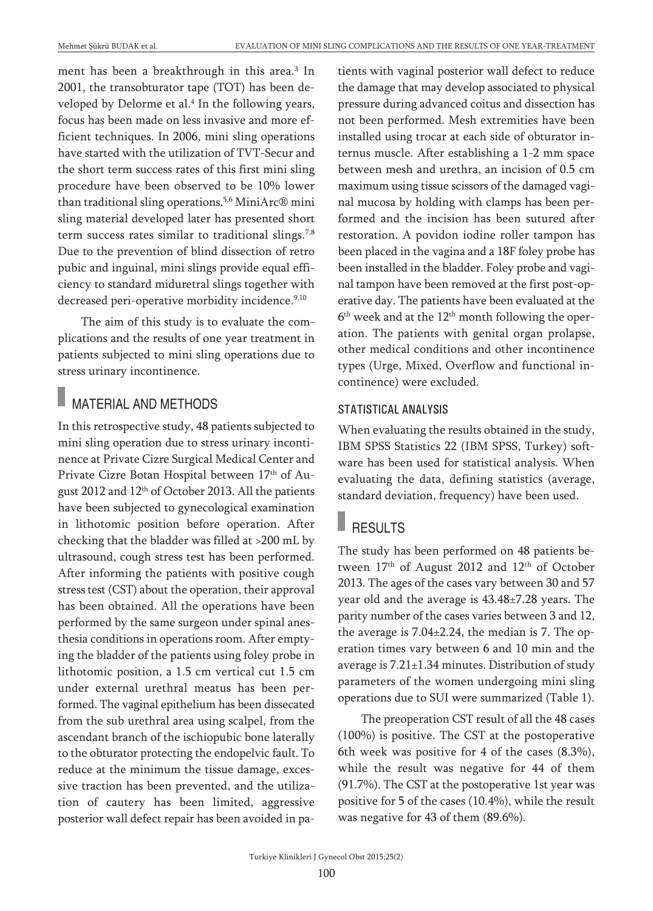ment has been a breakthrough in this area. <sup>3</sup> In 2001, the transobturator tape (TOT) has been developed by Delorme et al. <sup>4</sup> In the following years, focus has been made on less invasive and more efficient techniques. In 2006, mini sling operations have started with the utilization of TVT-Secur and the short term success rates of this first mini sling procedure have been observed to be 10% lower than traditional sling operations. 5,6 MiniArc® mini sling material developed later has presented short term success rates similar to traditional slings.<sup>7,8</sup> Due to the prevention of blind dissection of retro pubic and inguinal, mini slings provide equal efficiency to standard miduretral slings together with decreased peri-operative morbidity incidence.<sup>9,10</sup>

The aim of this study is to evaluate the complications and the results of one year treatment in patients subjected to mini sling operations due to stress urinary incontinence.

## MATERIAL AND METHODS

In this retrospective study, 48 patients subjected to mini sling operation due to stress urinary incontinence at Private Cizre Surgical Medical Center and Private Cizre Botan Hospital between 17th of August 2012 and 12<sup>th</sup> of October 2013. All the patients have been subjected to gynecological examination in lithotomic position before operation. After checking that the bladder was filled at >200 mL by ultrasound, cough stress test has been performed. After informing the patients with positive cough stress test (CST) about the operation, their approval has been obtained. All the operations have been performed by the same surgeon under spinal anesthesia conditions in operations room. After emptying the bladder of the patients using foley probe in lithotomic position, a 1.5 cm vertical cut 1.5 cm under external urethral meatus has been performed. The vaginal epithelium has been dissecated from the sub urethral area using scalpel, from the ascendant branch of the ischiopubic bone laterally to the obturator protecting the endopelvic fault. To reduce at the minimum the tissue damage, excessive traction has been prevented, and the utilization of cautery has been limited, aggressive posterior wall defect repair has been avoided in patients with vaginal posterior wall defect to reduce the damage that may develop associated to physical pressure during advanced coitus and dissection has not been performed. Mesh extremities have been installed using trocar at each side of obturator internus muscle. After establishing a 1-2 mm space between mesh and urethra, an incision of 0.5 cm maximum using tissue scissors of the damaged vaginal mucosa by holding with clamps has been performed and the incision has been sutured after restoration. A povidon iodine roller tampon has been placed in the vagina and a 18F foley probe has been installed in the bladder. Foley probe and vaginal tampon have been removed at the first post-operative day. The patients have been evaluated at the  $6<sup>th</sup>$  week and at the  $12<sup>th</sup>$  month following the operation. The patients with genital organ prolapse, other medical conditions and other incontinence types (Urge, Mixed, Overflow and functional incontinence) were excluded.

### STATISTICAL ANALYSIS

When evaluating the results obtained in the study, IBM SPSS Statistics 22 (IBM SPSS, Turkey) software has been used for statistical analysis. When evaluating the data, defining statistics (average, standard deviation, frequency) have been used.

# RESULTS

The study has been performed on 48 patients between 17<sup>th</sup> of August 2012 and 12<sup>th</sup> of October 2013. The ages of the cases vary between 30 and 57 year old and the average is 43.48±7.28 years. The parity number of the cases varies between 3 and 12, the average is 7.04±2.24, the median is 7. The operation times vary between 6 and 10 min and the average is  $7.21 \pm 1.34$  minutes. Distribution of study parameters of the women undergoing mini sling operations due to SUI were summarized (Table 1).

The preoperation CST result of all the 48 cases (100%) is positive. The CST at the postoperative 6th week was positive for 4 of the cases (8.3%), while the result was negative for 44 of them (91.7%). The CST at the postoperative 1st year was positive for 5 of the cases (10.4%), while the result was negative for 43 of them (89.6%).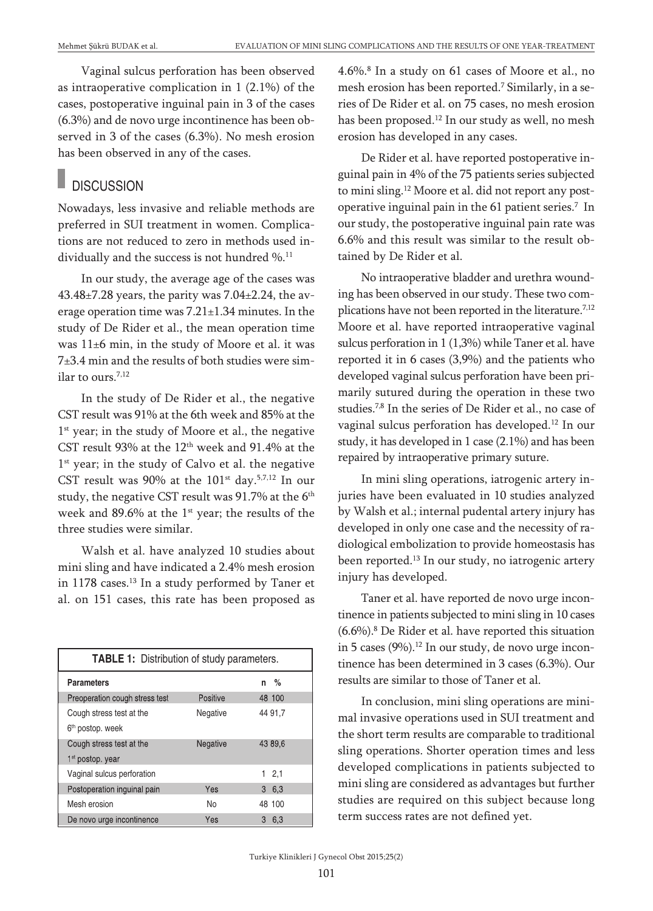Vaginal sulcus perforation has been observed as intraoperative complication in 1 (2.1%) of the cases, postoperative inguinal pain in 3 of the cases (6.3%) and de novo urge incontinence has been observed in 3 of the cases (6.3%). No mesh erosion has been observed in any of the cases.

## **DISCUSSION**

Nowadays, less invasive and reliable methods are preferred in SUI treatment in women. Complications are not reduced to zero in methods used individually and the success is not hundred %. 11

In our study, the average age of the cases was  $43.48\pm7.28$  years, the parity was  $7.04\pm2.24$ , the average operation time was 7.21±1.34 minutes. In the study of De Rider et al., the mean operation time was 11±6 min, in the study of Moore et al. it was 7±3.4 min and the results of both studies were similar to ours. 7,12

In the study of De Rider et al., the negative CST result was 91% at the 6th week and 85% at the 1<sup>st</sup> year; in the study of Moore et al., the negative CST result 93% at the 12th week and 91.4% at the 1<sup>st</sup> year; in the study of Calvo et al. the negative CST result was 90% at the  $101^{st}$  day.<sup>5,7,12</sup> In our study, the negative CST result was 91.7% at the 6<sup>th</sup> week and  $89.6\%$  at the 1st year; the results of the three studies were similar.

Walsh et al. have analyzed 10 studies about mini sling and have indicated a 2.4% mesh erosion in 1178 cases. <sup>13</sup> In a study performed by Taner et al. on 151 cases, this rate has been proposed as

| <b>TABLE 1:</b> Distribution of study parameters. |                |           |
|---------------------------------------------------|----------------|-----------|
| <b>Parameters</b>                                 |                | $\%$<br>n |
| Preoperation cough stress test                    | Positive       | 48 100    |
| Cough stress test at the                          | Negative       | 44 91,7   |
| 6 <sup>th</sup> postop. week                      |                |           |
| Cough stress test at the                          | Negative       | 43 89,6   |
| 1 <sup>st</sup> postop. year                      |                |           |
| Vaginal sulcus perforation                        |                | 12,1      |
| Postoperation inquinal pain                       | Yes            | 6,3<br>3  |
| Mesh erosion                                      | N <sub>0</sub> | 48 100    |
| De novo urge incontinence                         | Yes            | 3<br>6,3  |

4.6%. <sup>8</sup> In a study on 61 cases of Moore et al., no mesh erosion has been reported. <sup>7</sup> Similarly, in a series of De Rider et al. on 75 cases, no mesh erosion has been proposed. <sup>12</sup> In our study as well, no mesh erosion has developed in any cases.

De Rider et al. have reported postoperative inguinal pain in 4% of the 75 patients series subjected to mini sling. <sup>12</sup> Moore et al. did not report any postoperative inguinal pain in the 61 patient series. <sup>7</sup> In our study, the postoperative inguinal pain rate was 6.6% and this result was similar to the result obtained by De Rider et al.

No intraoperative bladder and urethra wounding has been observed in our study. These two complications have not been reported in the literature.<sup>7,12</sup> Moore et al. have reported intraoperative vaginal sulcus perforation in 1 (1,3%) while Taner et al. have reported it in 6 cases (3,9%) and the patients who developed vaginal sulcus perforation have been primarily sutured during the operation in these two studies. 7,8 In the series of De Rider et al., no case of vaginal sulcus perforation has developed. <sup>12</sup> In our study, it has developed in 1 case (2.1%) and has been repaired by intraoperative primary suture.

In mini sling operations, iatrogenic artery injuries have been evaluated in 10 studies analyzed by Walsh et al.; internal pudental artery injury has developed in only one case and the necessity of radiological embolization to provide homeostasis has been reported. <sup>13</sup> In our study, no iatrogenic artery injury has developed.

Taner et al. have reported de novo urge incontinence in patients subjected to mini sling in 10 cases (6.6%). <sup>8</sup> De Rider et al. have reported this situation in 5 cases (9%). <sup>12</sup> In our study, de novo urge incontinence has been determined in 3 cases (6.3%). Our results are similar to those of Taner et al.

In conclusion, mini sling operations are minimal invasive operations used in SUI treatment and the short term results are comparable to traditional sling operations. Shorter operation times and less developed complications in patients subjected to mini sling are considered as advantages but further studies are required on this subject because long term success rates are not defined yet.